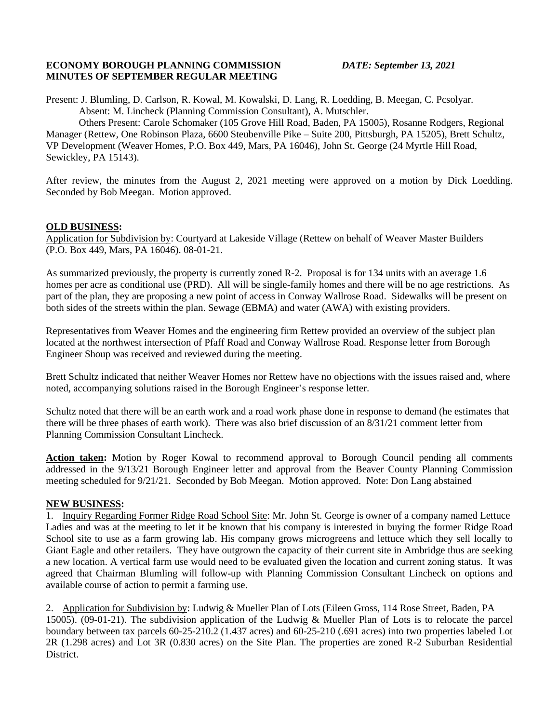## **ECONOMY BOROUGH PLANNING COMMISSION** *DATE: September 13, 2021* **MINUTES OF SEPTEMBER REGULAR MEETING**

Present: J. Blumling, D. Carlson, R. Kowal, M. Kowalski, D. Lang, R. Loedding, B. Meegan, C. Pcsolyar. Absent: M. Lincheck (Planning Commission Consultant), A. Mutschler.

Others Present: Carole Schomaker (105 Grove Hill Road, Baden, PA 15005), Rosanne Rodgers, Regional Manager (Rettew, One Robinson Plaza, 6600 Steubenville Pike – Suite 200, Pittsburgh, PA 15205), Brett Schultz, VP Development (Weaver Homes, P.O. Box 449, Mars, PA 16046), John St. George (24 Myrtle Hill Road, Sewickley, PA 15143).

After review, the minutes from the August 2, 2021 meeting were approved on a motion by Dick Loedding. Seconded by Bob Meegan. Motion approved.

## **OLD BUSINESS:**

Application for Subdivision by: Courtyard at Lakeside Village (Rettew on behalf of Weaver Master Builders (P.O. Box 449, Mars, PA 16046). 08-01-21.

As summarized previously, the property is currently zoned R-2. Proposal is for 134 units with an average 1.6 homes per acre as conditional use (PRD). All will be single-family homes and there will be no age restrictions. As part of the plan, they are proposing a new point of access in Conway Wallrose Road. Sidewalks will be present on both sides of the streets within the plan. Sewage (EBMA) and water (AWA) with existing providers.

Representatives from Weaver Homes and the engineering firm Rettew provided an overview of the subject plan located at the northwest intersection of Pfaff Road and Conway Wallrose Road. Response letter from Borough Engineer Shoup was received and reviewed during the meeting.

Brett Schultz indicated that neither Weaver Homes nor Rettew have no objections with the issues raised and, where noted, accompanying solutions raised in the Borough Engineer's response letter.

Schultz noted that there will be an earth work and a road work phase done in response to demand (he estimates that there will be three phases of earth work). There was also brief discussion of an 8/31/21 comment letter from Planning Commission Consultant Lincheck.

**Action taken:** Motion by Roger Kowal to recommend approval to Borough Council pending all comments addressed in the 9/13/21 Borough Engineer letter and approval from the Beaver County Planning Commission meeting scheduled for 9/21/21. Seconded by Bob Meegan. Motion approved. Note: Don Lang abstained

## **NEW BUSINESS:**

1. Inquiry Regarding Former Ridge Road School Site: Mr. John St. George is owner of a company named Lettuce Ladies and was at the meeting to let it be known that his company is interested in buying the former Ridge Road School site to use as a farm growing lab. His company grows microgreens and lettuce which they sell locally to Giant Eagle and other retailers. They have outgrown the capacity of their current site in Ambridge thus are seeking a new location. A vertical farm use would need to be evaluated given the location and current zoning status. It was agreed that Chairman Blumling will follow-up with Planning Commission Consultant Lincheck on options and available course of action to permit a farming use.

2. Application for Subdivision by: Ludwig & Mueller Plan of Lots (Eileen Gross, 114 Rose Street, Baden, PA 15005). (09-01-21). The subdivision application of the Ludwig & Mueller Plan of Lots is to relocate the parcel boundary between tax parcels 60-25-210.2 (1.437 acres) and 60-25-210 (.691 acres) into two properties labeled Lot 2R (1.298 acres) and Lot 3R (0.830 acres) on the Site Plan. The properties are zoned R-2 Suburban Residential District.